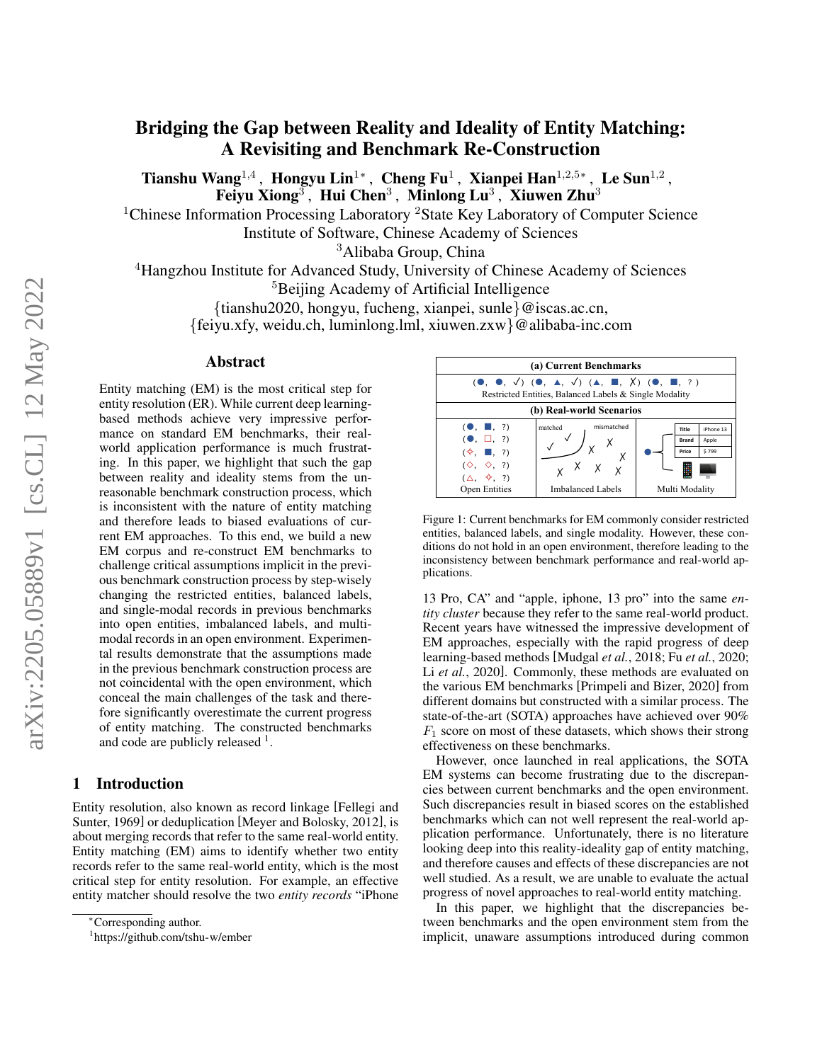# Bridging the Gap between Reality and Ideality of Entity Matching: A Revisiting and Benchmark Re-Construction

Tianshu Wang<sup>1,4</sup>, Hongyu Lin<sup>1</sup>\*, Cheng Fu<sup>1</sup>, Xianpei Han<sup>1,2,5</sup>\*, Le Sun<sup>1,2</sup>, Feiyu Xiong $^3$ , Hui Chen $^3$ , Minlong Lu $^3$ , Xiuwen Zhu $^3$ 

<sup>1</sup>Chinese Information Processing Laboratory <sup>2</sup>State Key Laboratory of Computer Science

Institute of Software, Chinese Academy of Sciences

<sup>3</sup>Alibaba Group, China

<sup>4</sup>Hangzhou Institute for Advanced Study, University of Chinese Academy of Sciences

<sup>5</sup>Beijing Academy of Artificial Intelligence

{tianshu2020, hongyu, fucheng, xianpei, sunle}@iscas.ac.cn,

{feiyu.xfy, weidu.ch, luminlong.lml, xiuwen.zxw}@alibaba-inc.com

#### Abstract

Entity matching (EM) is the most critical step for entity resolution (ER). While current deep learningbased methods achieve very impressive performance on standard EM benchmarks, their realworld application performance is much frustrating. In this paper, we highlight that such the gap between reality and ideality stems from the unreasonable benchmark construction process, which is inconsistent with the nature of entity matching and therefore leads to biased evaluations of current EM approaches. To this end, we build a new EM corpus and re-construct EM benchmarks to challenge critical assumptions implicit in the previous benchmark construction process by step-wisely changing the restricted entities, balanced labels, and single-modal records in previous benchmarks into open entities, imbalanced labels, and multimodal records in an open environment. Experimental results demonstrate that the assumptions made in the previous benchmark construction process are not coincidental with the open environment, which conceal the main challenges of the task and therefore significantly overestimate the current progress of entity matching. The constructed benchmarks and code are publicly released <sup>[1](#page-0-0)</sup>.

#### 1 Introduction

Entity resolution, also known as record linkage [\[Fellegi and](#page-6-0) [Sunter, 1969\]](#page-6-0) or deduplication [\[Meyer and Bolosky, 2012\]](#page-6-1), is about merging records that refer to the same real-world entity. Entity matching (EM) aims to identify whether two entity records refer to the same real-world entity, which is the most critical step for entity resolution. For example, an effective entity matcher should resolve the two *entity records* "iPhone

<span id="page-0-1"></span>

Figure 1: Current benchmarks for EM commonly consider restricted entities, balanced labels, and single modality. However, these conditions do not hold in an open environment, therefore leading to the inconsistency between benchmark performance and real-world applications.

13 Pro, CA" and "apple, iphone, 13 pro" into the same *entity cluster* because they refer to the same real-world product. Recent years have witnessed the impressive development of EM approaches, especially with the rapid progress of deep learning-based methods [\[Mudgal](#page-6-2) *et al.*, 2018; Fu *et al.*[, 2020;](#page-6-3) Li *et al.*[, 2020\]](#page-6-4). Commonly, these methods are evaluated on the various EM benchmarks [\[Primpeli and Bizer, 2020\]](#page-6-5) from different domains but constructed with a similar process. The state-of-the-art (SOTA) approaches have achieved over 90%  $F_1$  score on most of these datasets, which shows their strong effectiveness on these benchmarks.

However, once launched in real applications, the SOTA EM systems can become frustrating due to the discrepancies between current benchmarks and the open environment. Such discrepancies result in biased scores on the established benchmarks which can not well represent the real-world application performance. Unfortunately, there is no literature looking deep into this reality-ideality gap of entity matching, and therefore causes and effects of these discrepancies are not well studied. As a result, we are unable to evaluate the actual progress of novel approaches to real-world entity matching.

In this paper, we highlight that the discrepancies between benchmarks and the open environment stem from the implicit, unaware assumptions introduced during common

<sup>∗</sup>Corresponding author.

<span id="page-0-0"></span><sup>1</sup> https://github.com/tshu-w/ember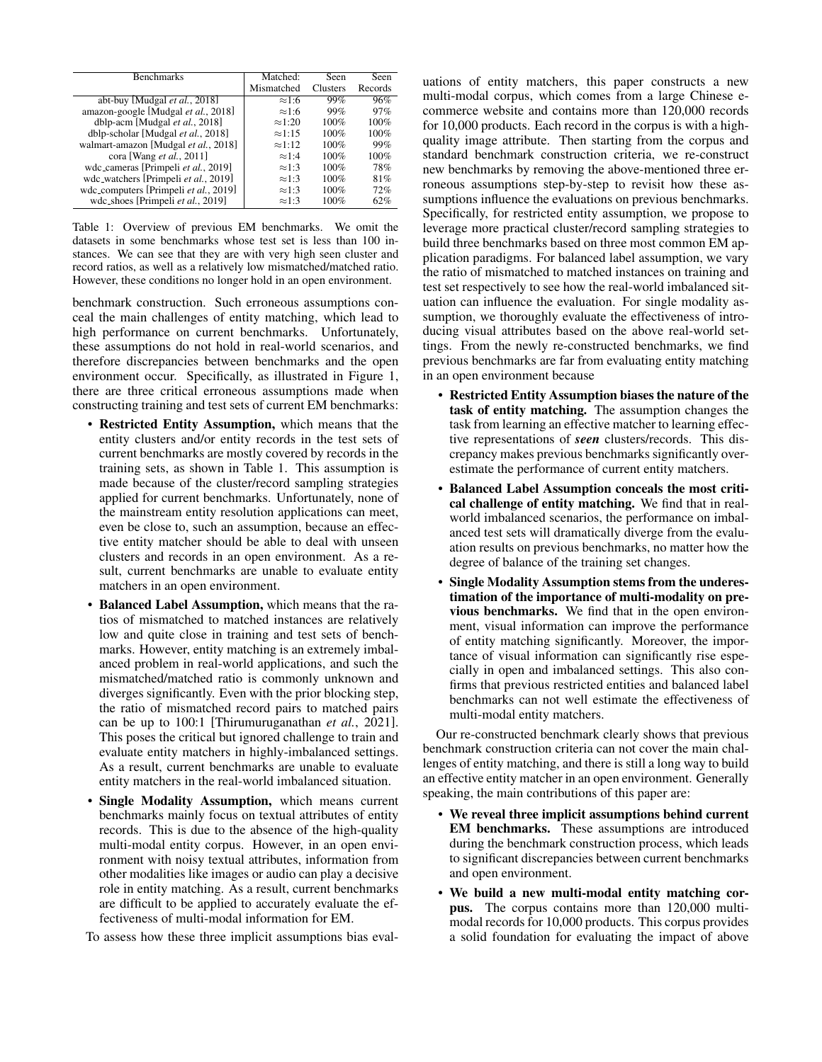<span id="page-1-0"></span>

| <b>Benchmarks</b>                     | Matched:       | Seen            | Seen    |
|---------------------------------------|----------------|-----------------|---------|
|                                       | Mismatched     | <b>Clusters</b> | Records |
| abt-buy [Mudgal et al., 2018]         | $\approx 1:6$  | 99%             | 96%     |
| amazon-google [Mudgal et al., 2018]   | $\approx 1:6$  | 99%             | 97%     |
| dblp-acm [Mudgal et al., 2018]        | $\approx 1:20$ | $100\%$         | 100%    |
| dblp-scholar [Mudgal et al., 2018]    | $\approx 1:15$ | 100%            | 100%    |
| walmart-amazon [Mudgal et al., 2018]  | $\approx 1:12$ | 100%            | 99%     |
| cora [Wang <i>et al.</i> , 2011]      | $\approx 1:4$  | 100%            | 100%    |
| wdc_cameras [Primpeli et al., 2019]   | $\approx 1:3$  | 100%            | 78%     |
| wdc_watchers [Primpeli et al., 2019]  | $\approx 1:3$  | 100%            | 81%     |
| wdc_computers [Primpeli et al., 2019] | $\approx 1:3$  | 100%            | 72%     |
| wdc_shoes [Primpeli et al., 2019]     | $\approx 1:3$  | 100%            | 62%     |

Table 1: Overview of previous EM benchmarks. We omit the datasets in some benchmarks whose test set is less than 100 instances. We can see that they are with very high seen cluster and record ratios, as well as a relatively low mismatched/matched ratio. However, these conditions no longer hold in an open environment.

benchmark construction. Such erroneous assumptions conceal the main challenges of entity matching, which lead to high performance on current benchmarks. Unfortunately, these assumptions do not hold in real-world scenarios, and therefore discrepancies between benchmarks and the open environment occur. Specifically, as illustrated in Figure [1,](#page-0-1) there are three critical erroneous assumptions made when constructing training and test sets of current EM benchmarks:

- Restricted Entity Assumption, which means that the entity clusters and/or entity records in the test sets of current benchmarks are mostly covered by records in the training sets, as shown in Table [1.](#page-1-0) This assumption is made because of the cluster/record sampling strategies applied for current benchmarks. Unfortunately, none of the mainstream entity resolution applications can meet, even be close to, such an assumption, because an effective entity matcher should be able to deal with unseen clusters and records in an open environment. As a result, current benchmarks are unable to evaluate entity matchers in an open environment.
- Balanced Label Assumption, which means that the ratios of mismatched to matched instances are relatively low and quite close in training and test sets of benchmarks. However, entity matching is an extremely imbalanced problem in real-world applications, and such the mismatched/matched ratio is commonly unknown and diverges significantly. Even with the prior blocking step, the ratio of mismatched record pairs to matched pairs can be up to 100:1 [\[Thirumuruganathan](#page-6-8) *et al.*, 2021]. This poses the critical but ignored challenge to train and evaluate entity matchers in highly-imbalanced settings. As a result, current benchmarks are unable to evaluate entity matchers in the real-world imbalanced situation.
- Single Modality Assumption, which means current benchmarks mainly focus on textual attributes of entity records. This is due to the absence of the high-quality multi-modal entity corpus. However, in an open environment with noisy textual attributes, information from other modalities like images or audio can play a decisive role in entity matching. As a result, current benchmarks are difficult to be applied to accurately evaluate the effectiveness of multi-modal information for EM.

To assess how these three implicit assumptions bias eval-

uations of entity matchers, this paper constructs a new multi-modal corpus, which comes from a large Chinese ecommerce website and contains more than 120,000 records for 10,000 products. Each record in the corpus is with a highquality image attribute. Then starting from the corpus and standard benchmark construction criteria, we re-construct new benchmarks by removing the above-mentioned three erroneous assumptions step-by-step to revisit how these assumptions influence the evaluations on previous benchmarks. Specifically, for restricted entity assumption, we propose to leverage more practical cluster/record sampling strategies to build three benchmarks based on three most common EM application paradigms. For balanced label assumption, we vary the ratio of mismatched to matched instances on training and test set respectively to see how the real-world imbalanced situation can influence the evaluation. For single modality assumption, we thoroughly evaluate the effectiveness of introducing visual attributes based on the above real-world settings. From the newly re-constructed benchmarks, we find previous benchmarks are far from evaluating entity matching in an open environment because

- Restricted Entity Assumption biases the nature of the task of entity matching. The assumption changes the task from learning an effective matcher to learning effective representations of *seen* clusters/records. This discrepancy makes previous benchmarks significantly overestimate the performance of current entity matchers.
- Balanced Label Assumption conceals the most critical challenge of entity matching. We find that in realworld imbalanced scenarios, the performance on imbalanced test sets will dramatically diverge from the evaluation results on previous benchmarks, no matter how the degree of balance of the training set changes.
- Single Modality Assumption stems from the underestimation of the importance of multi-modality on previous benchmarks. We find that in the open environment, visual information can improve the performance of entity matching significantly. Moreover, the importance of visual information can significantly rise especially in open and imbalanced settings. This also confirms that previous restricted entities and balanced label benchmarks can not well estimate the effectiveness of multi-modal entity matchers.

Our re-constructed benchmark clearly shows that previous benchmark construction criteria can not cover the main challenges of entity matching, and there is still a long way to build an effective entity matcher in an open environment. Generally speaking, the main contributions of this paper are:

- We reveal three implicit assumptions behind current EM benchmarks. These assumptions are introduced during the benchmark construction process, which leads to significant discrepancies between current benchmarks and open environment.
- We build a new multi-modal entity matching corpus. The corpus contains more than 120,000 multimodal records for 10,000 products. This corpus provides a solid foundation for evaluating the impact of above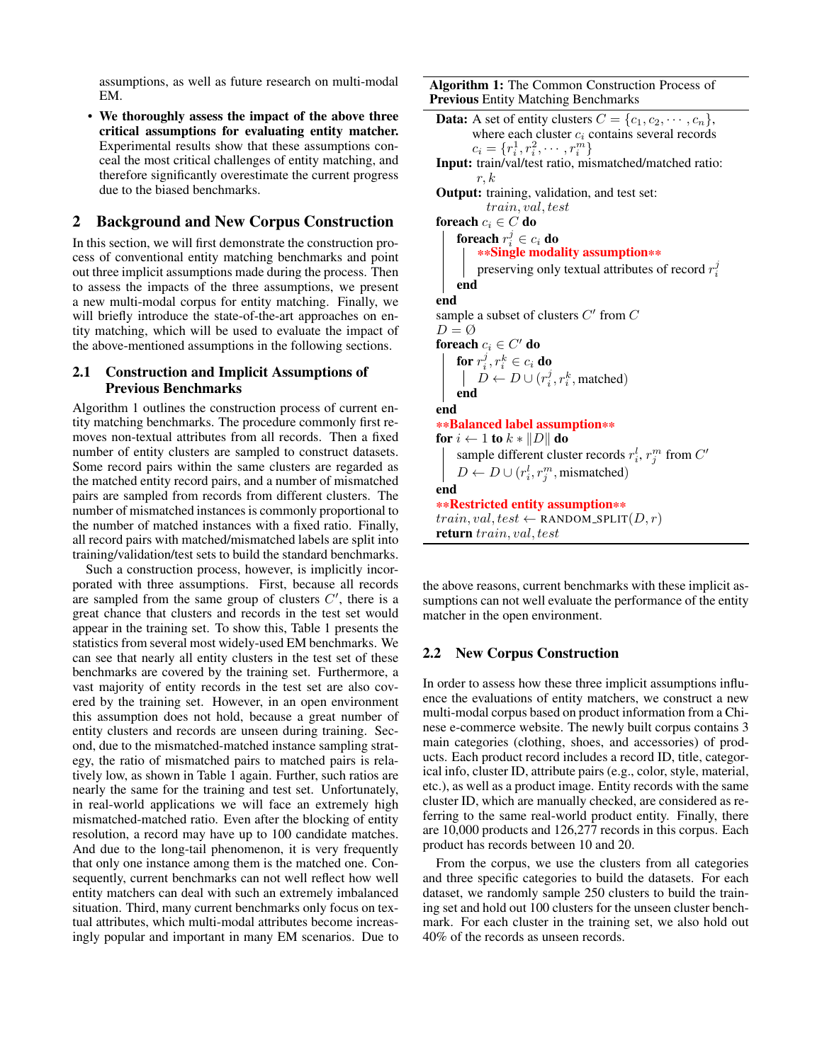assumptions, as well as future research on multi-modal EM.

• We thoroughly assess the impact of the above three critical assumptions for evaluating entity matcher. Experimental results show that these assumptions conceal the most critical challenges of entity matching, and therefore significantly overestimate the current progress due to the biased benchmarks.

### 2 Background and New Corpus Construction

In this section, we will first demonstrate the construction process of conventional entity matching benchmarks and point out three implicit assumptions made during the process. Then to assess the impacts of the three assumptions, we present a new multi-modal corpus for entity matching. Finally, we will briefly introduce the state-of-the-art approaches on entity matching, which will be used to evaluate the impact of the above-mentioned assumptions in the following sections.

#### 2.1 Construction and Implicit Assumptions of Previous Benchmarks

Algorithm [1](#page-2-0) outlines the construction process of current entity matching benchmarks. The procedure commonly first removes non-textual attributes from all records. Then a fixed number of entity clusters are sampled to construct datasets. Some record pairs within the same clusters are regarded as the matched entity record pairs, and a number of mismatched pairs are sampled from records from different clusters. The number of mismatched instances is commonly proportional to the number of matched instances with a fixed ratio. Finally, all record pairs with matched/mismatched labels are split into training/validation/test sets to build the standard benchmarks.

Such a construction process, however, is implicitly incorporated with three assumptions. First, because all records are sampled from the same group of clusters  $C'$ , there is a great chance that clusters and records in the test set would appear in the training set. To show this, Table [1](#page-1-0) presents the statistics from several most widely-used EM benchmarks. We can see that nearly all entity clusters in the test set of these benchmarks are covered by the training set. Furthermore, a vast majority of entity records in the test set are also covered by the training set. However, in an open environment this assumption does not hold, because a great number of entity clusters and records are unseen during training. Second, due to the mismatched-matched instance sampling strategy, the ratio of mismatched pairs to matched pairs is relatively low, as shown in Table [1](#page-1-0) again. Further, such ratios are nearly the same for the training and test set. Unfortunately, in real-world applications we will face an extremely high mismatched-matched ratio. Even after the blocking of entity resolution, a record may have up to 100 candidate matches. And due to the long-tail phenomenon, it is very frequently that only one instance among them is the matched one. Consequently, current benchmarks can not well reflect how well entity matchers can deal with such an extremely imbalanced situation. Third, many current benchmarks only focus on textual attributes, which multi-modal attributes become increasingly popular and important in many EM scenarios. Due to

Algorithm 1: The Common Construction Process of Previous Entity Matching Benchmarks

```
Data: A set of entity clusters C = \{c_1, c_2, \dots, c_n\},\where each cluster c_i contains several records
        c_i = \{r_i^1, r_i^2, \cdots, r_i^m\}Input: train/val/test ratio, mismatched/matched ratio:
        r, kOutput: training, validation, and test set:
          train, val, test
foreach c_i \in C do
    foreach r_i^j \in c_i do
        **Single modality assumption**
         preserving only textual attributes of record r_i^jend
end
sample a subset of clusters C' from CD = \emptysetforeach c_i \in C' do
    for r_i^j, r_i^k \in c_i do
         D \leftarrow D \cup (r_i^j, r_i^k, \text{matched})end
end
**Balanced label assumption**
for i \leftarrow 1 to k \ast ||D|| do
    sample different cluster records r_i^l, r_j^m from C'D \leftarrow D \cup (r_i^l, r_j^m, \text{mismatched})end
**Restricted entity assumption**
train, val, test \leftarrow RANDOM_SPLIT(D, r)return train, val, test
```
the above reasons, current benchmarks with these implicit assumptions can not well evaluate the performance of the entity matcher in the open environment.

#### 2.2 New Corpus Construction

In order to assess how these three implicit assumptions influence the evaluations of entity matchers, we construct a new multi-modal corpus based on product information from a Chinese e-commerce website. The newly built corpus contains 3 main categories (clothing, shoes, and accessories) of products. Each product record includes a record ID, title, categorical info, cluster ID, attribute pairs (e.g., color, style, material, etc.), as well as a product image. Entity records with the same cluster ID, which are manually checked, are considered as referring to the same real-world product entity. Finally, there are 10,000 products and 126,277 records in this corpus. Each product has records between 10 and 20.

From the corpus, we use the clusters from all categories and three specific categories to build the datasets. For each dataset, we randomly sample 250 clusters to build the training set and hold out 100 clusters for the unseen cluster benchmark. For each cluster in the training set, we also hold out 40% of the records as unseen records.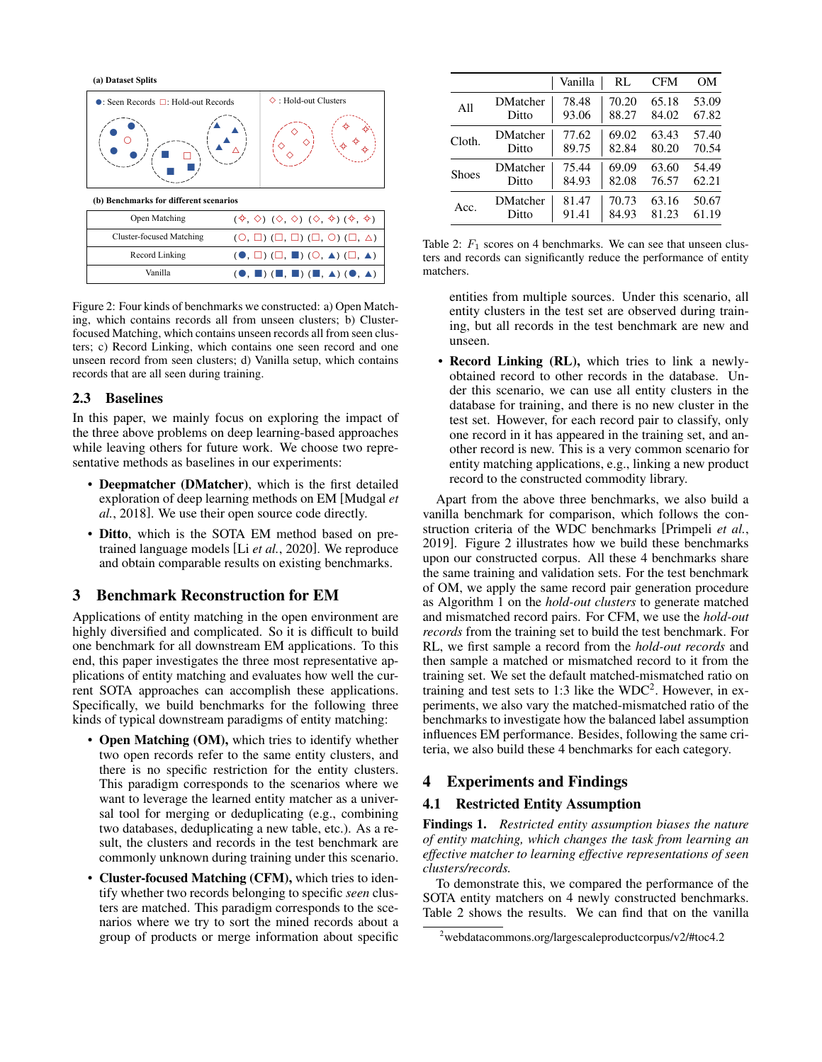<span id="page-3-0"></span>**(a) Dataset Splits**



Figure 2: Four kinds of benchmarks we constructed: a) Open Matching, which contains records all from unseen clusters; b) Clusterfocused Matching, which contains unseen records all from seen clusters; c) Record Linking, which contains one seen record and one unseen record from seen clusters; d) Vanilla setup, which contains records that are all seen during training.

#### 2.3 Baselines

In this paper, we mainly focus on exploring the impact of the three above problems on deep learning-based approaches while leaving others for future work. We choose two representative methods as baselines in our experiments:

- Deepmatcher (DMatcher), which is the first detailed exploration of deep learning methods on EM [\[Mudgal](#page-6-2) *et al.*[, 2018\]](#page-6-2). We use their open source code directly.
- Ditto, which is the SOTA EM method based on pretrained language models [Li *et al.*[, 2020\]](#page-6-4). We reproduce and obtain comparable results on existing benchmarks.

# 3 Benchmark Reconstruction for EM

Applications of entity matching in the open environment are highly diversified and complicated. So it is difficult to build one benchmark for all downstream EM applications. To this end, this paper investigates the three most representative applications of entity matching and evaluates how well the current SOTA approaches can accomplish these applications. Specifically, we build benchmarks for the following three kinds of typical downstream paradigms of entity matching:

- Open Matching (OM), which tries to identify whether two open records refer to the same entity clusters, and there is no specific restriction for the entity clusters. This paradigm corresponds to the scenarios where we want to leverage the learned entity matcher as a universal tool for merging or deduplicating (e.g., combining two databases, deduplicating a new table, etc.). As a result, the clusters and records in the test benchmark are commonly unknown during training under this scenario.
- Cluster-focused Matching (CFM), which tries to identify whether two records belonging to specific *seen* clusters are matched. This paradigm corresponds to the scenarios where we try to sort the mined records about a group of products or merge information about specific

<span id="page-3-2"></span>

|              |                 | Vanilla | RL    | <b>CFM</b> | OМ    |
|--------------|-----------------|---------|-------|------------|-------|
| A11          | <b>DMatcher</b> | 78.48   | 70.20 | 65.18      | 53.09 |
|              | Ditto           | 93.06   | 88.27 | 84.02      | 67.82 |
| Cloth.       | <b>DMatcher</b> | 77.62   | 69.02 | 63.43      | 57.40 |
|              | Ditto           | 89.75   | 82.84 | 80.20      | 70.54 |
| <b>Shoes</b> | <b>DMatcher</b> | 75.44   | 69.09 | 63.60      | 54.49 |
|              | Ditto           | 84.93   | 82.08 | 76.57      | 62.21 |
| Acc.         | <b>DMatcher</b> | 81.47   | 70.73 | 63.16      | 50.67 |
|              | Ditto           | 91.41   | 84.93 | 81.23      | 61.19 |

Table 2:  $F_1$  scores on 4 benchmarks. We can see that unseen clusters and records can significantly reduce the performance of entity matchers.

entities from multiple sources. Under this scenario, all entity clusters in the test set are observed during training, but all records in the test benchmark are new and unseen.

• Record Linking (RL), which tries to link a newlyobtained record to other records in the database. Under this scenario, we can use all entity clusters in the database for training, and there is no new cluster in the test set. However, for each record pair to classify, only one record in it has appeared in the training set, and another record is new. This is a very common scenario for entity matching applications, e.g., linking a new product record to the constructed commodity library.

Apart from the above three benchmarks, we also build a vanilla benchmark for comparison, which follows the construction criteria of the WDC benchmarks [\[Primpeli](#page-6-7) *et al.*, [2019\]](#page-6-7). Figure [2](#page-3-0) illustrates how we build these benchmarks upon our constructed corpus. All these 4 benchmarks share the same training and validation sets. For the test benchmark of OM, we apply the same record pair generation procedure as Algorithm [1](#page-2-0) on the *hold-out clusters* to generate matched and mismatched record pairs. For CFM, we use the *hold-out records* from the training set to build the test benchmark. For RL, we first sample a record from the *hold-out records* and then sample a matched or mismatched record to it from the training set. We set the default matched-mismatched ratio on training and test sets to 1:3 like the  $WDC<sup>2</sup>$  $WDC<sup>2</sup>$  $WDC<sup>2</sup>$ . However, in experiments, we also vary the matched-mismatched ratio of the benchmarks to investigate how the balanced label assumption influences EM performance. Besides, following the same criteria, we also build these 4 benchmarks for each category.

# 4 Experiments and Findings

### 4.1 Restricted Entity Assumption

Findings 1. *Restricted entity assumption biases the nature of entity matching, which changes the task from learning an effective matcher to learning effective representations of seen clusters/records.*

To demonstrate this, we compared the performance of the SOTA entity matchers on 4 newly constructed benchmarks. Table [2](#page-3-2) shows the results. We can find that on the vanilla

<span id="page-3-1"></span><sup>2</sup>[webdatacommons.org/largescaleproductcorpus/v2/#toc4.2](http://webdatacommons.org/largescaleproductcorpus/v2/#toc4.2)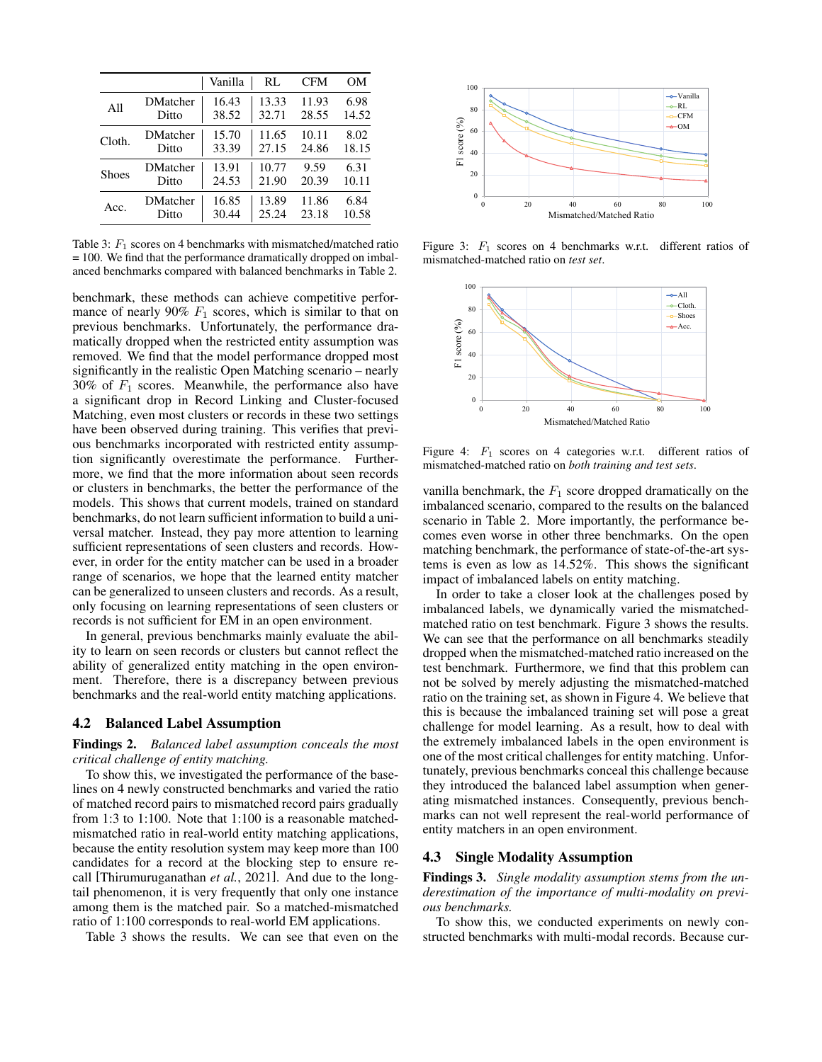<span id="page-4-0"></span>

|        |                 | Vanilla | RL    | <b>CFM</b> | OМ    |
|--------|-----------------|---------|-------|------------|-------|
| A11    | <b>DMatcher</b> | 16.43   | 13.33 | 11.93      | 6.98  |
|        | Ditto           | 38.52   | 32.71 | 28.55      | 14.52 |
| Cloth. | <b>DMatcher</b> | 15.70   | 11.65 | 10.11      | 8.02  |
|        | Ditto           | 33.39   | 27.15 | 24.86      | 18.15 |
| Shoes  | <b>DMatcher</b> | 13.91   | 10.77 | 9.59       | 6.31  |
|        | Ditto           | 24.53   | 21.90 | 20.39      | 10.11 |
| Acc.   | <b>DMatcher</b> | 16.85   | 13.89 | 11.86      | 6.84  |
|        | Ditto           | 30.44   | 25.24 | 23.18      | 10.58 |

Table 3:  $F_1$  scores on 4 benchmarks with mismatched/matched ratio = 100. We find that the performance dramatically dropped on imbalanced benchmarks compared with balanced benchmarks in Table [2.](#page-3-2)

benchmark, these methods can achieve competitive performance of nearly 90%  $F_1$  scores, which is similar to that on previous benchmarks. Unfortunately, the performance dramatically dropped when the restricted entity assumption was removed. We find that the model performance dropped most significantly in the realistic Open Matching scenario – nearly 30% of  $F_1$  scores. Meanwhile, the performance also have a significant drop in Record Linking and Cluster-focused Matching, even most clusters or records in these two settings have been observed during training. This verifies that previous benchmarks incorporated with restricted entity assumption significantly overestimate the performance. Furthermore, we find that the more information about seen records or clusters in benchmarks, the better the performance of the models. This shows that current models, trained on standard benchmarks, do not learn sufficient information to build a universal matcher. Instead, they pay more attention to learning sufficient representations of seen clusters and records. However, in order for the entity matcher can be used in a broader range of scenarios, we hope that the learned entity matcher can be generalized to unseen clusters and records. As a result, only focusing on learning representations of seen clusters or records is not sufficient for EM in an open environment.

In general, previous benchmarks mainly evaluate the ability to learn on seen records or clusters but cannot reflect the ability of generalized entity matching in the open environment. Therefore, there is a discrepancy between previous benchmarks and the real-world entity matching applications.

#### 4.2 Balanced Label Assumption

#### Findings 2. *Balanced label assumption conceals the most critical challenge of entity matching.*

To show this, we investigated the performance of the baselines on 4 newly constructed benchmarks and varied the ratio of matched record pairs to mismatched record pairs gradually from 1:3 to 1:100. Note that 1:100 is a reasonable matchedmismatched ratio in real-world entity matching applications, because the entity resolution system may keep more than 100 candidates for a record at the blocking step to ensure recall [\[Thirumuruganathan](#page-6-8) *et al.*, 2021]. And due to the longtail phenomenon, it is very frequently that only one instance among them is the matched pair. So a matched-mismatched ratio of 1:100 corresponds to real-world EM applications.

Table [3](#page-4-0) shows the results. We can see that even on the

<span id="page-4-1"></span>

<span id="page-4-2"></span>Figure 3:  $F_1$  scores on 4 benchmarks w.r.t. different ratios of mismatched-matched ratio on *test set*.



Figure 4:  $F_1$  scores on 4 categories w.r.t. different ratios of mismatched-matched ratio on *both training and test sets*.

vanilla benchmark, the  $F_1$  score dropped dramatically on the imbalanced scenario, compared to the results on the balanced scenario in Table [2.](#page-3-2) More importantly, the performance becomes even worse in other three benchmarks. On the open matching benchmark, the performance of state-of-the-art systems is even as low as 14.52%. This shows the significant impact of imbalanced labels on entity matching.

In order to take a closer look at the challenges posed by imbalanced labels, we dynamically varied the mismatchedmatched ratio on test benchmark. Figure [3](#page-4-1) shows the results. We can see that the performance on all benchmarks steadily dropped when the mismatched-matched ratio increased on the test benchmark. Furthermore, we find that this problem can not be solved by merely adjusting the mismatched-matched ratio on the training set, as shown in Figure [4.](#page-4-2) We believe that this is because the imbalanced training set will pose a great challenge for model learning. As a result, how to deal with the extremely imbalanced labels in the open environment is one of the most critical challenges for entity matching. Unfortunately, previous benchmarks conceal this challenge because they introduced the balanced label assumption when generating mismatched instances. Consequently, previous benchmarks can not well represent the real-world performance of entity matchers in an open environment.

### 4.3 Single Modality Assumption

Findings 3. *Single modality assumption stems from the underestimation of the importance of multi-modality on previous benchmarks.*

To show this, we conducted experiments on newly constructed benchmarks with multi-modal records. Because cur-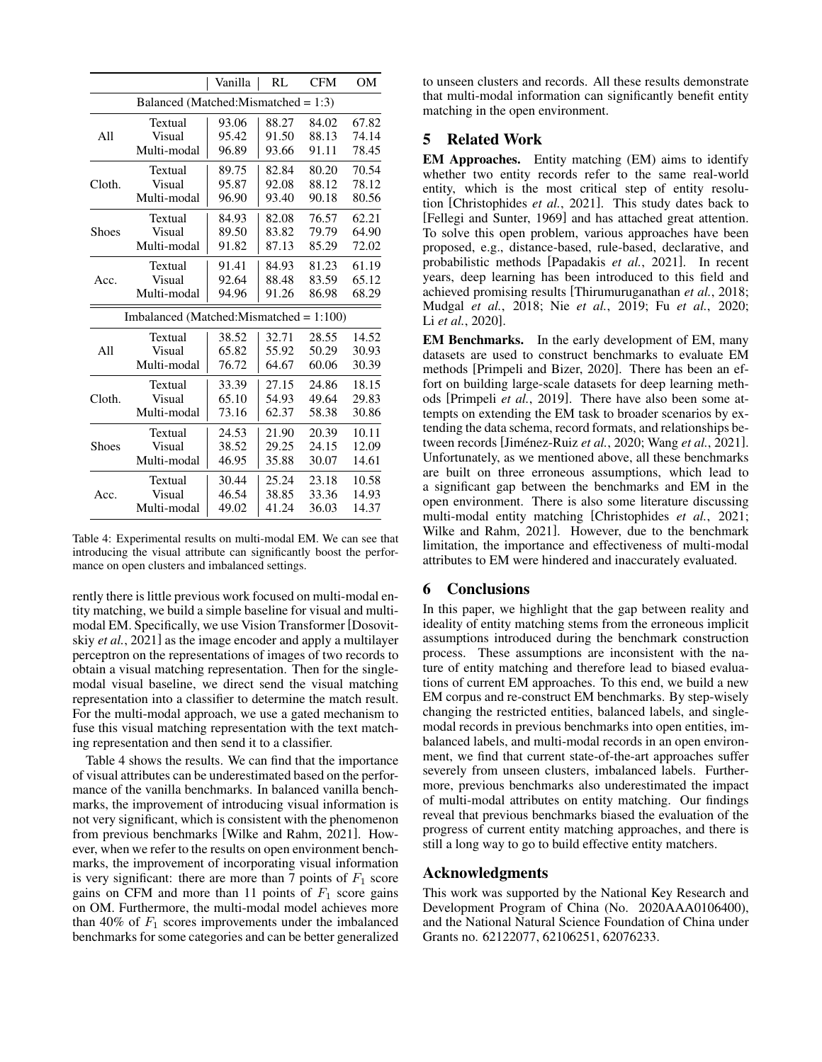<span id="page-5-0"></span>

|        |                                            | Vanilla | RL    | <b>CFM</b> | OM    |
|--------|--------------------------------------------|---------|-------|------------|-------|
|        | Balanced (Matched:Mismatched = $1:3$ )     |         |       |            |       |
| All    | Textual                                    | 93.06   | 88.27 | 84.02      | 67.82 |
|        | Visual                                     | 95.42   | 91.50 | 88.13      | 74.14 |
|        | Multi-modal                                | 96.89   | 93.66 | 91.11      | 78.45 |
|        | Textual                                    | 89.75   | 82.84 | 80.20      | 70.54 |
| Cloth. | Visual                                     | 95.87   | 92.08 | 88.12      | 78.12 |
|        | Multi-modal                                | 96.90   | 93.40 | 90.18      | 80.56 |
|        | Textual                                    | 84.93   | 82.08 | 76.57      | 62.21 |
| Shoes  | Visual                                     | 89.50   | 83.82 | 79.79      | 64.90 |
|        | Multi-modal                                | 91.82   | 87.13 | 85.29      | 72.02 |
|        | Textual                                    | 91.41   | 84.93 | 81.23      | 61.19 |
| Acc.   | Visual                                     | 92.64   | 88.48 | 83.59      | 65.12 |
|        | Multi-modal                                | 94.96   | 91.26 | 86.98      | 68.29 |
|        | Imbalanced (Matched:Mismatched = $1:100$ ) |         |       |            |       |
|        | Textual                                    | 38.52   | 32.71 | 28.55      | 14.52 |
| A11    | Visual                                     | 65.82   | 55.92 | 50.29      | 30.93 |
|        | Multi-modal                                | 76.72   | 64.67 | 60.06      | 30.39 |
| Cloth. | Textual                                    | 33.39   | 27.15 | 24.86      | 18.15 |
|        | Visual                                     | 65.10   | 54.93 | 49.64      | 29.83 |
|        | Multi-modal                                | 73.16   | 62.37 | 58.38      | 30.86 |
| Shoes  | Textual                                    | 24.53   | 21.90 | 20.39      | 10.11 |
|        | Visual                                     | 38.52   | 29.25 | 24.15      | 12.09 |
|        | Multi-modal                                | 46.95   | 35.88 | 30.07      | 14.61 |
| Acc.   | Textual                                    | 30.44   | 25.24 | 23.18      | 10.58 |
|        | Visual                                     | 46.54   | 38.85 | 33.36      | 14.93 |
|        | Multi-modal                                | 49.02   | 41.24 | 36.03      | 14.37 |

Table 4: Experimental results on multi-modal EM. We can see that introducing the visual attribute can significantly boost the performance on open clusters and imbalanced settings.

rently there is little previous work focused on multi-modal entity matching, we build a simple baseline for visual and multimodal EM. Specifically, we use Vision Transformer [\[Dosovit](#page-6-9)skiy *et al.*[, 2021\]](#page-6-9) as the image encoder and apply a multilayer perceptron on the representations of images of two records to obtain a visual matching representation. Then for the singlemodal visual baseline, we direct send the visual matching representation into a classifier to determine the match result. For the multi-modal approach, we use a gated mechanism to fuse this visual matching representation with the text matching representation and then send it to a classifier.

Table [4](#page-5-0) shows the results. We can find that the importance of visual attributes can be underestimated based on the performance of the vanilla benchmarks. In balanced vanilla benchmarks, the improvement of introducing visual information is not very significant, which is consistent with the phenomenon from previous benchmarks [\[Wilke and Rahm, 2021\]](#page-6-10). However, when we refer to the results on open environment benchmarks, the improvement of incorporating visual information is very significant: there are more than 7 points of  $F_1$  score gains on CFM and more than 11 points of  $F_1$  score gains on OM. Furthermore, the multi-modal model achieves more than 40% of  $F_1$  scores improvements under the imbalanced benchmarks for some categories and can be better generalized to unseen clusters and records. All these results demonstrate that multi-modal information can significantly benefit entity matching in the open environment.

# 5 Related Work

EM Approaches. Entity matching (EM) aims to identify whether two entity records refer to the same real-world entity, which is the most critical step of entity resolution [\[Christophides](#page-6-11) *et al.*, 2021]. This study dates back to [\[Fellegi and Sunter, 1969\]](#page-6-0) and has attached great attention. To solve this open problem, various approaches have been proposed, e.g., distance-based, rule-based, declarative, and probabilistic methods [\[Papadakis](#page-6-12) *et al.*, 2021]. In recent years, deep learning has been introduced to this field and achieved promising results [\[Thirumuruganathan](#page-6-13) *et al.*, 2018; [Mudgal](#page-6-2) *et al.*, 2018; Nie *et al.*[, 2019;](#page-6-14) Fu *et al.*[, 2020;](#page-6-3) Li *et al.*[, 2020\]](#page-6-4).

EM Benchmarks. In the early development of EM, many datasets are used to construct benchmarks to evaluate EM methods [\[Primpeli and Bizer, 2020\]](#page-6-5). There has been an effort on building large-scale datasets for deep learning methods [\[Primpeli](#page-6-7) *et al.*, 2019]. There have also been some attempts on extending the EM task to broader scenarios by extending the data schema, record formats, and relationships between records [Jiménez-Ruiz *et al.*, 2020; Wang *et al.*[, 2021\]](#page-6-16). Unfortunately, as we mentioned above, all these benchmarks are built on three erroneous assumptions, which lead to a significant gap between the benchmarks and EM in the open environment. There is also some literature discussing multi-modal entity matching [\[Christophides](#page-6-11) *et al.*, 2021; [Wilke and Rahm, 2021\]](#page-6-10). However, due to the benchmark limitation, the importance and effectiveness of multi-modal attributes to EM were hindered and inaccurately evaluated.

### 6 Conclusions

In this paper, we highlight that the gap between reality and ideality of entity matching stems from the erroneous implicit assumptions introduced during the benchmark construction process. These assumptions are inconsistent with the nature of entity matching and therefore lead to biased evaluations of current EM approaches. To this end, we build a new EM corpus and re-construct EM benchmarks. By step-wisely changing the restricted entities, balanced labels, and singlemodal records in previous benchmarks into open entities, imbalanced labels, and multi-modal records in an open environment, we find that current state-of-the-art approaches suffer severely from unseen clusters, imbalanced labels. Furthermore, previous benchmarks also underestimated the impact of multi-modal attributes on entity matching. Our findings reveal that previous benchmarks biased the evaluation of the progress of current entity matching approaches, and there is still a long way to go to build effective entity matchers.

### Acknowledgments

This work was supported by the National Key Research and Development Program of China (No. 2020AAA0106400), and the National Natural Science Foundation of China under Grants no. 62122077, 62106251, 62076233.